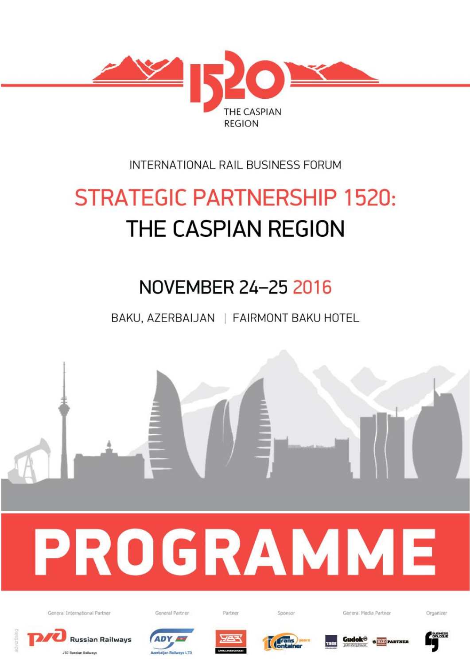

## INTERNATIONAL RAIL BUSINESS FORUM

# **STRATEGIC PARTNERSHIP 1520:** THE CASPIAN REGION

## NOVEMBER 24-25 2016

BAKU, AZERBAIJAN | FAIRMONT BAKU HOTEL



**Russian Railways JSC Russian Railways** 









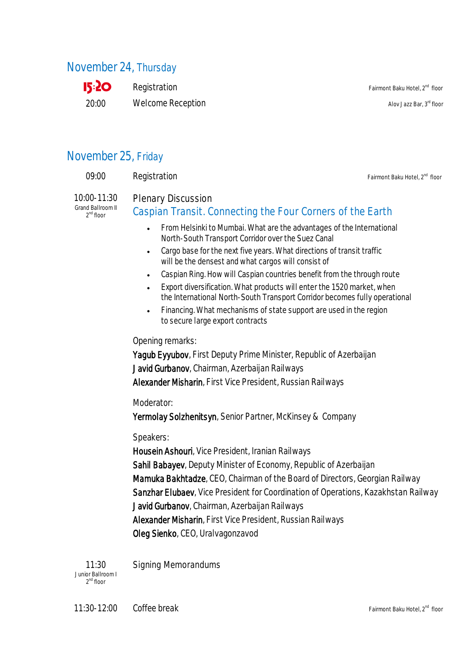## November 24, Thursday



 $\text{Registration}$  Fairmont Baku Hotel,  $2^{\text{nd}}$  floor Welcome Reception and alove Jazz Bar, 3<sup>rd</sup> floor

## November 25, Friday

| 09:00                                              | Registration                                                                                                                                                                                                                                                                                                                                                                                                                                                                                                                                                                                                                                                               | Fairmont Baku Hotel, 2 <sup>nd</sup> floor |
|----------------------------------------------------|----------------------------------------------------------------------------------------------------------------------------------------------------------------------------------------------------------------------------------------------------------------------------------------------------------------------------------------------------------------------------------------------------------------------------------------------------------------------------------------------------------------------------------------------------------------------------------------------------------------------------------------------------------------------------|--------------------------------------------|
| 10:00-11:30<br>Grand Ballroom II<br>$2^{nd}$ floor | <b>Plenary Discussion</b><br>Caspian Transit. Connecting the Four Corners of the Earth                                                                                                                                                                                                                                                                                                                                                                                                                                                                                                                                                                                     |                                            |
|                                                    | From Helsinki to Mumbai. What are the advantages of the International<br>$\bullet$<br>North-South Transport Corridor over the Suez Canal<br>Cargo base for the next five years. What directions of transit traffic<br>$\bullet$<br>will be the densest and what cargos will consist of<br>Caspian Ring. How will Caspian countries benefit from the through route<br>$\bullet$<br>Export diversification. What products will enter the 1520 market, when<br>$\bullet$<br>the International North-South Transport Corridor becomes fully operational<br>Financing. What mechanisms of state support are used in the region<br>$\bullet$<br>to secure large export contracts |                                            |
|                                                    | Opening remarks:<br>Yagub Eyyubov, First Deputy Prime Minister, Republic of Azerbaijan<br>Javid Gurbanov, Chairman, Azerbaijan Railways<br>Alexander Misharin, First Vice President, Russian Railways                                                                                                                                                                                                                                                                                                                                                                                                                                                                      |                                            |
|                                                    | Moderator:<br>Yermolay Solzhenitsyn, Senior Partner, McKinsey & Company                                                                                                                                                                                                                                                                                                                                                                                                                                                                                                                                                                                                    |                                            |
|                                                    | Speakers:<br>Housein Ashouri, Vice President, Iranian Railways<br>Sahil Babayev, Deputy Minister of Economy, Republic of Azerbaijan<br>Mamuka Bakhtadze, CEO, Chairman of the Board of Directors, Georgian Railway<br>Sanzhar Elubaev, Vice President for Coordination of Operations, Kazakhstan Railway<br>Javid Gurbanov, Chairman, Azerbaijan Railways                                                                                                                                                                                                                                                                                                                  |                                            |
|                                                    | Alexander Misharin, First Vice President, Russian Railways                                                                                                                                                                                                                                                                                                                                                                                                                                                                                                                                                                                                                 |                                            |

Oleg Sienko, CEO, Uralvagonzavod

11:30 Junior Ballroom I 2<sup>nd</sup> floor Signing Memorandums

11:30-12:00 Coffee break Fairmont Baku Hotel, 2<sup>nd</sup> floor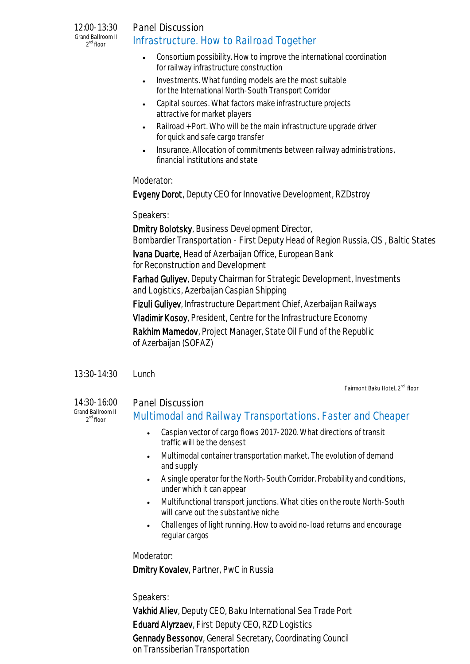12:00-13:30 Grand Ballroom II 2<sup>nd</sup> floor

## Panel Discussion Infrastructure. How to Railroad Together

- Consortium possibility. How to improve the international coordination for railway infrastructure construction
- Investments. What funding models are the most suitable for the International North-South Transport Corridor
- Capital sources. What factors make infrastructure projects attractive for market players
- Railroad + Port. Who will be the main infrastructure upgrade driver for quick and safe cargo transfer
- Insurance. Allocation of commitments between railway administrations, financial institutions and state

#### Moderator:

Evgeny Dorot, Deputy CEO for Innovative Development, RZDstroy

Speakers:

Dmitry Bolotsky, Business Development Director, Bombardier Transportation - First Deputy Head of Region Russia, CIS , Baltic States Ivana Duarte, Head of Azerbaijan Office, European Bank

for Reconstruction and Development

Farhad Guliyev, Deputy Chairman for Strategic Development, Investments and Logistics, Azerbaijan Caspian Shipping

Fizuli Guliyev, Infrastructure Department Chief, Azerbaijan Railways

Vladimir Kosoy, President, Centre for the Infrastructure Economy

Rakhim Mamedov, Project Manager, State Oil Fund of the Republic of Azerbaijan (SOFAZ)

13:30-14:30 Lunch

Fairmont Baku Hotel, 2<sup>nd</sup> floor

14:30-16:00 Grand Ballroom II 2<sup>nd</sup> floor

#### Panel Discussion

### Multimodal and Railway Transportations. Faster and Cheaper

- Caspian vector of cargo flows 2017-2020. What directions of transit traffic will be the densest
- Multimodal container transportation market. The evolution of demand and supply
- A single operator for the North-South Corridor. Probability and conditions, under which it can appear
- Multifunctional transport junctions. What cities on the route North-South will carve out the substantive niche
- Challenges of light running. How to avoid no-load returns and encourage regular cargos

Moderator:

Dmitry Kovalev, Partner, PwC in Russia

#### Speakers:

Vakhid Aliev, Deputy CEO, Baku International Sea Trade Port Eduard Alyrzaev, First Deputy CEO, RZD Logistics Gennady Bessonov, General Secretary, Coordinating Council on Transsiberian Transportation